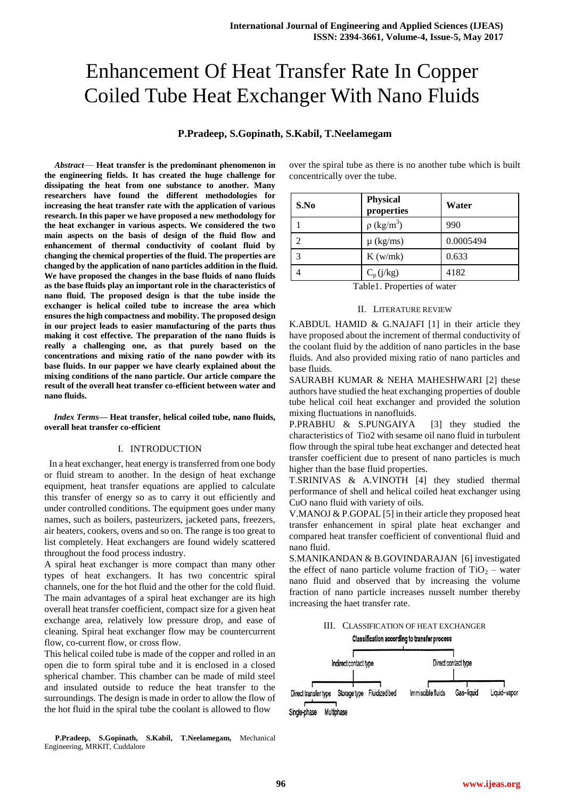# Enhancement Of Heat Transfer Rate In Copper Coiled Tube Heat Exchanger With Nano Fluids

## **P.Pradeep, S.Gopinath, S.Kabil, T.Neelamegam**

*Abstract*— **Heat transfer is the predominant phenomenon in the engineering fields. It has created the huge challenge for dissipating the heat from one substance to another. Many researchers have found the different methodologies for increasing the heat transfer rate with the application of various research. In this paper we have proposed a new methodology for the heat exchanger in various aspects. We considered the two main aspects on the basis of design of the fluid flow and enhancement of thermal conductivity of coolant fluid by changing the chemical properties of the fluid. The properties are changed by the application of nano particles addition in the fluid. We have proposed the changes in the base fluids of nano fluids as the base fluids play an important role in the characteristics of nano fluid. The proposed design is that the tube inside the exchanger is helical coiled tube to increase the area which ensures the high compactness and mobility. The proposed design in our project leads to easier manufacturing of the parts thus making it cost effective. The preparation of the nano fluids is really a challenging one, as that purely based on the concentrations and mixing ratio of the nano powder with its base fluids. In our papper we have clearly explained about the mixing conditions of the nano particle. Our article compare the result of the overall heat transfer co-efficient between water and nano fluids.**

*Index Terms***— Heat transfer, helical coiled tube, nano fluids, overall heat transfer co-efficient**

#### I. INTRODUCTION

 In a heat exchanger, heat energy is transferred from one body or fluid stream to another. In the design of heat exchange equipment, heat transfer equations are applied to calculate this transfer of energy so as to carry it out efficiently and under controlled conditions. The equipment goes under many names, such as boilers, pasteurizers, jacketed pans, freezers, air heaters, cookers, ovens and so on. The range is too great to list completely. Heat exchangers are found widely scattered throughout the food process industry.

A spiral heat exchanger is more compact than many other types of heat exchangers. It has two concentric spiral channels, one for the hot fluid and the other for the cold fluid. The main advantages of a spiral heat exchanger are its high overall heat transfer coefficient, compact size for a given heat exchange area, relatively low pressure drop, and ease of cleaning. Spiral heat exchanger flow may be countercurrent flow, co-current flow, or cross flow.

This helical coiled tube is made of the copper and rolled in an open die to form spiral tube and it is enclosed in a closed spherical chamber. This chamber can be made of mild steel and insulated outside to reduce the heat transfer to the surroundings. The design is made in order to allow the flow of the hot fluid in the spiral tube the coolant is allowed to flow

 **P.Pradeep, S.Gopinath, S.Kabil, T.Neelamegam,** Mechanical Engineering, MRKIT, Cuddalore

over the spiral tube as there is no another tube which is built concentrically over the tube.

| S.No | <b>Physical</b><br>properties | Water     |  |
|------|-------------------------------|-----------|--|
|      | $\rho$ (kg/m <sup>3</sup> )   | 990       |  |
|      | $\mu$ (kg/ms)                 | 0.0005494 |  |
|      | K(w/mk)                       | 0.633     |  |
|      | $C_p(j/kg)$                   | 4182      |  |

Table1. Properties of water

#### II. LITERATURE REVIEW

K.ABDUL HAMID & G.NAJAFI [1] in their article they have proposed about the increment of thermal conductivity of the coolant fluid by the addition of nano particles in the base fluids. And also provided mixing ratio of nano particles and base fluids.

SAURABH KUMAR & NEHA MAHESHWARI [2] these authors have studied the heat exchanging properties of double tube helical coil heat exchanger and provided the solution mixing fluctuations in nanofluids.

P.PRABHU & S.PUNGAIYA [3] they studied the characteristics of Tio2 with sesame oil nano fluid in turbulent flow through the spiral tube heat exchanger and detected heat transfer coefficient due to present of nano particles is much higher than the base fluid properties.

T.SRINIVAS & A.VINOTH [4] they studied thermal performance of shell and helical coiled heat exchanger using CuO nano fluid with variety of oils.

V.MANOJ & P.GOPAL [5] in their article they proposed heat transfer enhancement in spiral plate heat exchanger and compared heat transfer coefficient of conventional fluid and nano fluid.

S.MANIKANDAN & B.GOVINDARAJAN [6] investigated the effect of nano particle volume fraction of  $TiO<sub>2</sub> - water$ nano fluid and observed that by increasing the volume fraction of nano particle increases nusselt number thereby increasing the haet transfer rate.



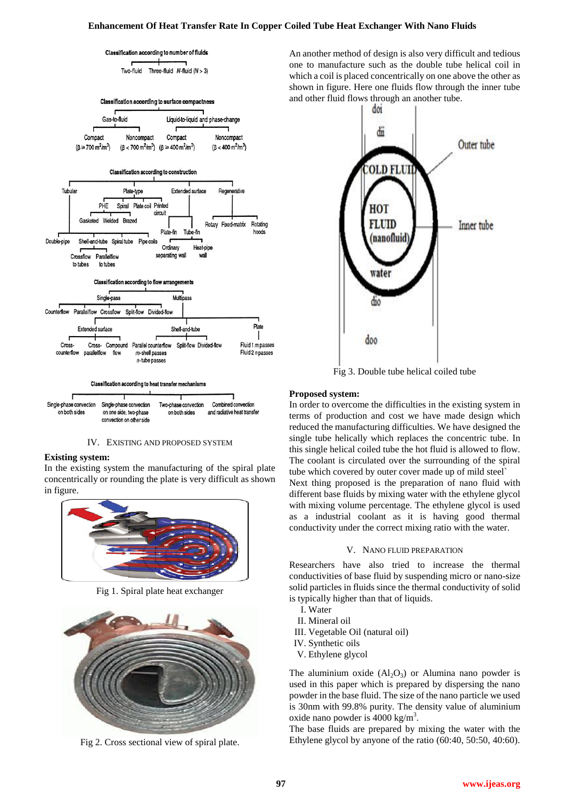## **Enhancement Of Heat Transfer Rate In Copper Coiled Tube Heat Exchanger With Nano Fluids**





IV. EXISTING AND PROPOSED SYSTEM

## **Existing system:**

In the existing system the manufacturing of the spiral plate concentrically or rounding the plate is very difficult as shown in figure.



Fig 1. Spiral plate heat exchanger



Fig 2. Cross sectional view of spiral plate.

An another method of design is also very difficult and tedious one to manufacture such as the double tube helical coil in which a coil is placed concentrically on one above the other as shown in figure. Here one fluids flow through the inner tube and other fluid flows through an another tube.



Fig 3. Double tube helical coiled tube

## **Proposed system:**

In order to overcome the difficulties in the existing system in terms of production and cost we have made design which reduced the manufacturing difficulties. We have designed the single tube helically which replaces the concentric tube. In this single helical coiled tube the hot fluid is allowed to flow. The coolant is circulated over the surrounding of the spiral tube which covered by outer cover made up of mild steel` Next thing proposed is the preparation of nano fluid with different base fluids by mixing water with the ethylene glycol with mixing volume percentage. The ethylene glycol is used as a industrial coolant as it is having good thermal conductivity under the correct mixing ratio with the water.

## V. NANO FLUID PREPARATION

Researchers have also tried to increase the thermal conductivities of base fluid by suspending micro or nano-size solid particles in fluids since the thermal conductivity of solid is typically higher than that of liquids.

- I. Water
- II. Mineral oil
- III. Vegetable Oil (natural oil)
- IV. Synthetic oils
- V. Ethylene glycol

The aluminium oxide  $(Al_2O_3)$  or Alumina nano powder is used in this paper which is prepared by dispersing the nano powder in the base fluid. The size of the nano particle we used is 30nm with 99.8% purity. The density value of aluminium oxide nano powder is  $4000 \text{ kg/m}^3$ .

The base fluids are prepared by mixing the water with the Ethylene glycol by anyone of the ratio (60:40, 50:50, 40:60).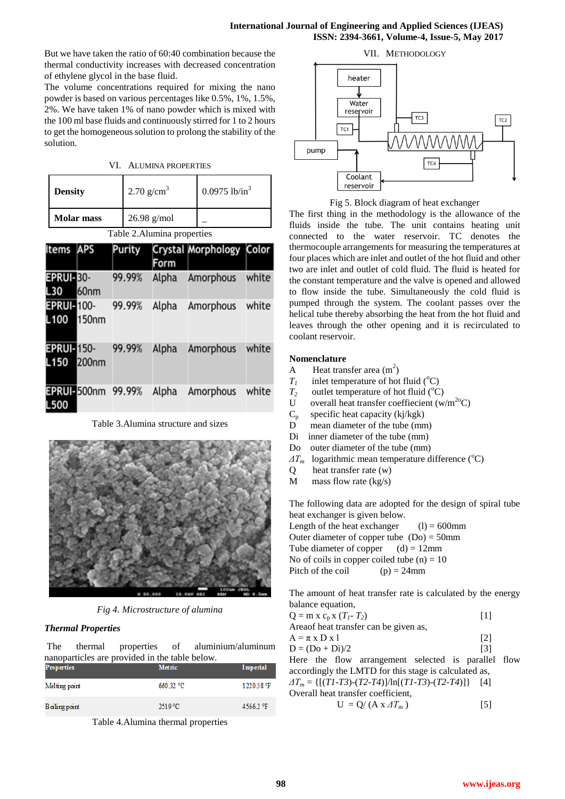But we have taken the ratio of 60:40 combination because the thermal conductivity increases with decreased concentration of ethylene glycol in the base fluid.

The volume concentrations required for mixing the nano powder is based on various percentages like 0.5%, 1%, 1.5%, 2%. We have taken 1% of nano powder which is mixed with the 100 ml base fluids and continuously stirred for 1 to 2 hours to get the homogeneous solution to prolong the stability of the solution.

VI. ALUMINA PROPERTIES

| <b>Density</b>    | $2.70$ g/cm <sup>3</sup> | $0.0975$ lb/in <sup>3</sup> |  |
|-------------------|--------------------------|-----------------------------|--|
| <b>Molar mass</b> | $26.98$ g/mol            |                             |  |

Table 2.Alumina properties

| Items APS                 |                   | Purity | Form  | Crystal Morphology Color |       |
|---------------------------|-------------------|--------|-------|--------------------------|-------|
| <b>EPRUI-30-</b><br>L30   | 60 <sub>nm</sub>  | 99.99% | Alpha | Amorphous                | white |
| <b>EPRUI-100-</b><br>L100 | 150 <sub>nm</sub> | 99.99% | Alpha | Amorphous                | white |
| <b>EPRUI-150-</b><br>L150 | 200 <sub>nm</sub> | 99.99% | Alpha | Amorphous                | white |
| .500                      | EPRUI-500nm       | 99.99% | Alpha | Amorphous                | white |

Table 3.Alumina structure and sizes



*Fig 4. Microstructure of alumina*

# *Thermal Properties*

The thermal properties of aluminium/aluminum nanoparticles are provided in the table below.

| <b>Properties</b> | Metric    | Imperial   |
|-------------------|-----------|------------|
| Melting point     | 660.32 °C | 1220.58 °F |
| Boiling point     | 2519 °C   | 4566.2 °F  |

Table 4.Alumina thermal properties







The first thing in the methodology is the allowance of the fluids inside the tube. The unit contains heating unit connected to the water reservoir. TC denotes the thermocouple arrangements for measuring the temperatures at four places which are inlet and outlet of the hot fluid and other two are inlet and outlet of cold fluid. The fluid is heated for the constant temperature and the valve is opened and allowed to flow inside the tube. Simultaneously the cold fluid is pumped through the system. The coolant passes over the helical tube thereby absorbing the heat from the hot fluid and leaves through the other opening and it is recirculated to coolant reservoir.

## **Nomenclature**

- A Heat transfer area  $(m^2)$
- $T_1$  inlet temperature of hot fluid  $(^{\circ}C)$
- $T_2$  outlet temperature of hot fluid ( $^{\circ}$ C)<br>U overall heat transfer coeffiecient (w
- U overall heat transfer coeffiecient  $(w/m^{20}C)$ <br>C<sub>n</sub> specific heat capacity (kj/kgk)
- specific heat capacity (kj/kgk)
- D mean diameter of the tube (mm)
- Di inner diameter of the tube (mm)
- Do outer diameter of the tube (mm)
- $\Delta T_m$  logarithmic mean temperature difference ( ${}^{\circ}$ C)
- Q heat transfer rate (w)
- M mass flow rate (kg/s)

The following data are adopted for the design of spiral tube heat exchanger is given below.

Length of the heat exchanger  $(l) = 600$ mm Outer diameter of copper tube  $(Do) = 50$ mm Tube diameter of copper  $(d) = 12$ mm No of coils in copper coiled tube  $(n) = 10$ Pitch of the coil  $(p) = 24$ mm

The amount of heat transfer rate is calculated by the energy balance equation,

| $Q = m x c_p x (T_1 - T_2)$                          |  | Ш   |  |
|------------------------------------------------------|--|-----|--|
| Area of heat transfer can be given as,               |  |     |  |
| $A = \pi x D x 1$                                    |  | [2] |  |
| $D = (Do + Di)/2$                                    |  | [3] |  |
| Here the flow arrangement selected is parallel flow  |  |     |  |
| accordingly the LMTD for this stage is calculated as |  |     |  |

accordingly the LMTD for this stage is calculated as, *ΔT<sup>m</sup>* = {[(*T1*-*T3*)-(*T2*-*T4*)]/ln[(*T1*-*T3*)-(*T2*-*T4*)]} [4] Overall heat transfer coefficient,

$$
U = Q/(A x \Delta T_m)
$$
 [5]